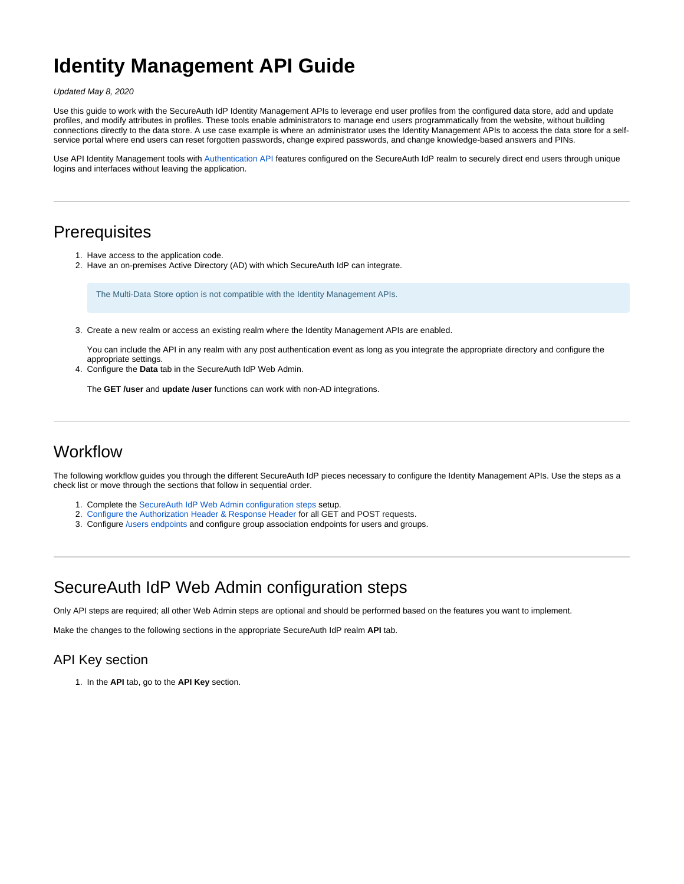# **Identity Management API Guide**

Updated May 8, 2020

Use this guide to work with the SecureAuth IdP Identity Management APIs to leverage end user profiles from the configured data store, add and update profiles, and modify attributes in profiles. These tools enable administrators to manage end users programmatically from the website, without building connections directly to the data store. A use case example is where an administrator uses the Identity Management APIs to access the data store for a selfservice portal where end users can reset forgotten passwords, change expired passwords, and change knowledge-based answers and PINs.

Use API Identity Management tools with [Authentication API](https://docs.secureauth.com/x/LAV2Aw) features configured on the SecureAuth IdP realm to securely direct end users through unique logins and interfaces without leaving the application.

## **Prerequisites**

- 1. Have access to the application code.
- 2. Have an on-premises Active Directory (AD) with which SecureAuth IdP can integrate.

The Multi-Data Store option is not compatible with the Identity Management APIs.

3. Create a new realm or access an existing realm where the Identity Management APIs are enabled.

You can include the API in any realm with any post authentication event as long as you integrate the appropriate directory and configure the appropriate settings.

4. Configure the **Data** tab in the SecureAuth IdP Web Admin.

The **GET /user** and **update /user** functions can work with non-AD integrations.

# **Workflow**

The following workflow guides you through the different SecureAuth IdP pieces necessary to configure the Identity Management APIs. Use the steps as a check list or move through the sections that follow in sequential order.

- 1. Complete the [SecureAuth IdP Web Admin configuration steps](#page-0-0) setup.
- 2. [Configure the Authorization Header & Response Header](#page-2-0) for all GET and POST requests.
- 3. Configure [/users endpoints](#page-5-0) and configure group association endpoints for users and groups.

# <span id="page-0-0"></span>SecureAuth IdP Web Admin configuration steps

Only API steps are required; all other Web Admin steps are optional and should be performed based on the features you want to implement.

Make the changes to the following sections in the appropriate SecureAuth IdP realm **API** tab.

### API Key section

1. In the **API** tab, go to the **API Key** section.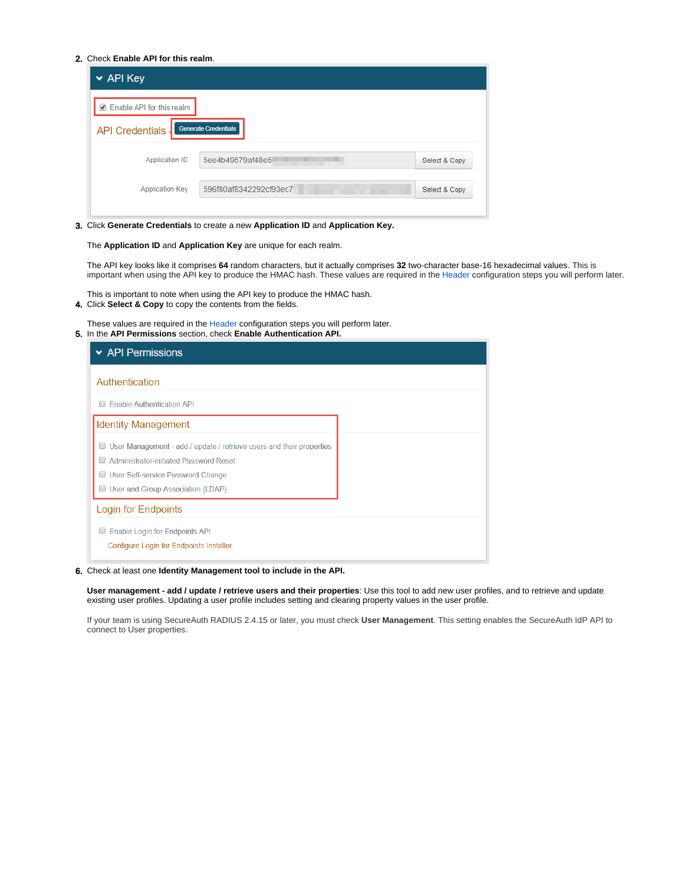#### 2. Check **Enable API for this realm**.

| $\star$ API Key             |                             |               |
|-----------------------------|-----------------------------|---------------|
| ☑ Enable API for this realm |                             |               |
| <b>API Credentials</b>      | <b>Generate Credentials</b> |               |
| <b>Application ID</b>       | 5ee4b49579af48e5            | Select & Copy |
| <b>Application Key</b>      | 596f80af8342292cf93ec7      | Select & Copy |
|                             |                             |               |

3. Click **Generate Credentials** to create a new **Application ID** and **Application Key.**

The **Application ID** and **Application Key** are unique for each realm.

The API key looks like it comprises **64** random characters, but it actually comprises **32** two-character base-16 hexadecimal values. This is important when using the API key to produce the HMAC hash. These values are required in the [Header](https://docs.secureauth.com/display/IPD/API+configuration+guide#APIconfigurationguide-AH) configuration steps you will perform later.

This is important to note when using the API key to produce the HMAC hash.

4. Click **Select & Copy** to copy the contents from the fields.

5. In the **API Permissions** section, check **Enable Authentication API.** These values are required in the [Header](#page-2-0) configuration steps you will perform later.

| $\star$ API Permissions                                                   |  |
|---------------------------------------------------------------------------|--|
| Authentication                                                            |  |
| <b>Enable Authentication API</b>                                          |  |
| <b>Identity Management</b>                                                |  |
| User Management - add / update / retrieve users and their properties<br>U |  |
| Administrator-initiated Password Reset                                    |  |
| <b>User Self-service Password Change</b>                                  |  |
| User and Group Association (LDAP)                                         |  |
| Login for Endpoints                                                       |  |
| Enable Login for Endpoints API<br>∪                                       |  |
| Configure Login for Endpoints Installer                                   |  |
|                                                                           |  |

6. Check at least one **Identity Management tool to include in the API.**

**User management - add / update / retrieve users and their properties**: Use this tool to add new user profiles, and to retrieve and update existing user profiles. Updating a user profile includes setting and clearing property values in the user profile.

If your team is using SecureAuth RADIUS 2.4.15 or later, you must check **User Management**. This setting enables the SecureAuth IdP API to connect to User properties.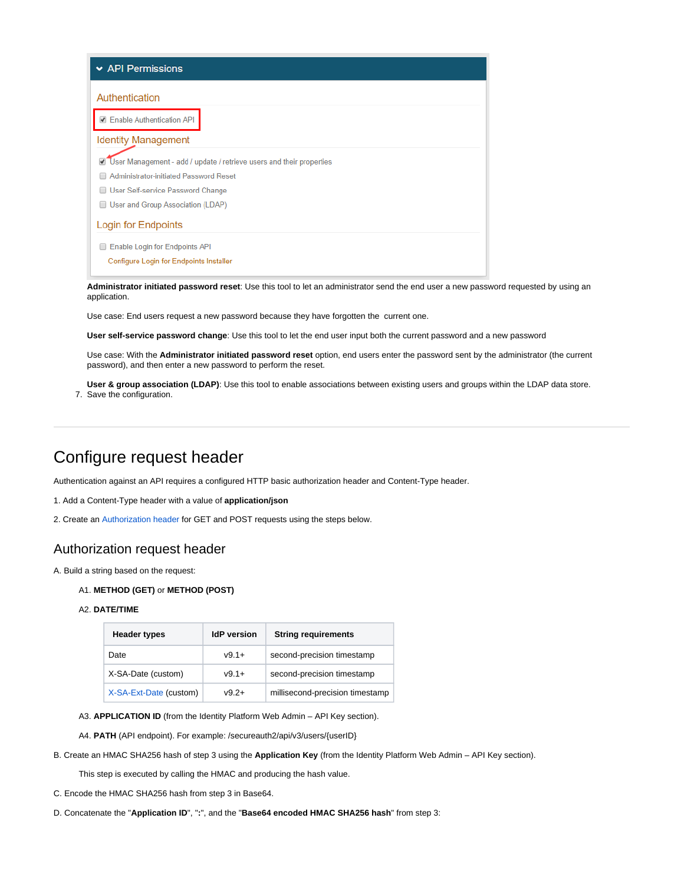| $\star$ API Permissions                                                                      |
|----------------------------------------------------------------------------------------------|
| Authentication                                                                               |
| <b>Enable Authentication API</b>                                                             |
| <b>Identity Management</b>                                                                   |
| User Management - add / update / retrieve users and their properties<br>$\blacktriangledown$ |
| <b>Administrator-initiated Password Reset</b>                                                |
| User Self-service Password Change                                                            |
| User and Group Association (LDAP)                                                            |
| Login for Endpoints                                                                          |
| Enable Login for Endpoints API                                                               |
| Configure Login for Endpoints Installer                                                      |

**Administrator initiated password reset**: Use this tool to let an administrator send the end user a new password requested by using an application.

Use case: End users request a new password because they have forgotten the current one.

**User self-service password change**: Use this tool to let the end user input both the current password and a new password

Use case: With the **Administrator initiated password reset** option, end users enter the password sent by the administrator (the current password), and then enter a new password to perform the reset.

7. Save the configuration. **User & group association (LDAP)**: Use this tool to enable associations between existing users and groups within the LDAP data store.

# <span id="page-2-0"></span>Configure request header

Authentication against an API requires a configured HTTP basic authorization header and Content-Type header.

1. Add a Content-Type header with a value of **application/json**

2. Create an [Authorization header](#page-2-1) for GET and POST requests using the steps below.

### <span id="page-2-1"></span>Authorization request header

A. Build a string based on the request:

#### A1. **METHOD (GET)** or **METHOD (POST)**

A2. **DATE/TIME**

| <b>Header types</b>    | <b>IdP</b> version | <b>String requirements</b>      |
|------------------------|--------------------|---------------------------------|
| <b>Date</b>            | $v9.1+$            | second-precision timestamp      |
| X-SA-Date (custom)     | $v9.1+$            | second-precision timestamp      |
| X-SA-Ext-Date (custom) | $V9.2+$            | millisecond-precision timestamp |

A3. **APPLICATION ID** (from the Identity Platform Web Admin – API Key section).

A4. PATH (API endpoint). For example: /secureauth2/api/v3/users/{userID}

B. Create an HMAC SHA256 hash of step 3 using the **Application Key** (from the Identity Platform Web Admin – API Key section).

This step is executed by calling the HMAC and producing the hash value.

- C. Encode the HMAC SHA256 hash from step 3 in Base64.
- D. Concatenate the "**Application ID**", "**:**", and the "**Base64 encoded HMAC SHA256 hash**" from step 3: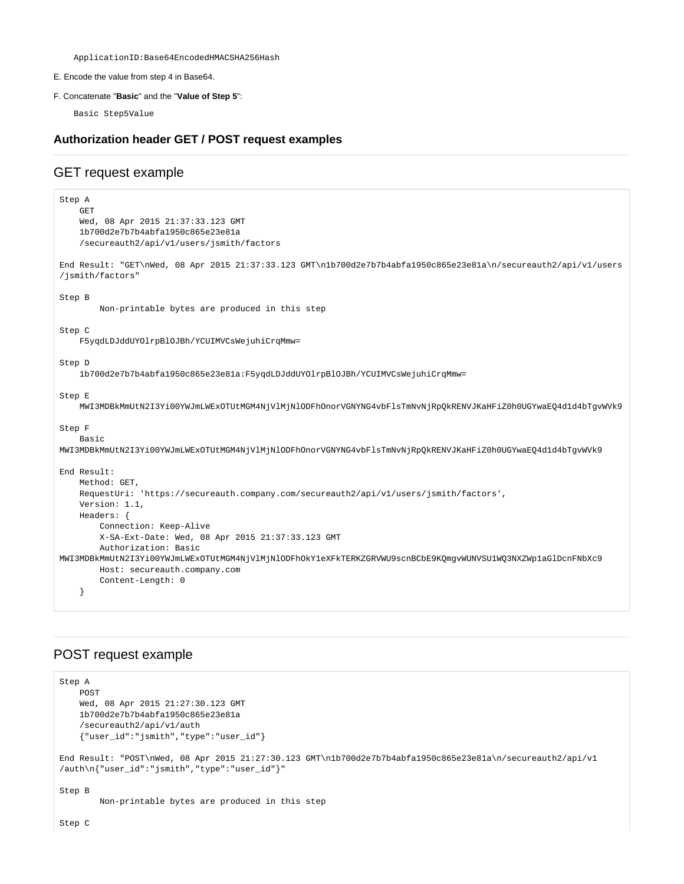ApplicationID:Base64EncodedHMACSHA256Hash

E. Encode the value from step 4 in Base64.

#### F. Concatenate "**Basic**" and the "**Value of Step 5**":

Basic Step5Value

#### **Authorization header GET / POST request examples**

## GET request example

```
Step A
    GET
    Wed, 08 Apr 2015 21:37:33.123 GMT
     1b700d2e7b7b4abfa1950c865e23e81a
     /secureauth2/api/v1/users/jsmith/factors
End Result: "GET\nWed, 08 Apr 2015 21:37:33.123 GMT\n1b700d2e7b7b4abfa1950c865e23e81a\n/secureauth2/api/v1/users
/jsmith/factors"
Step B
         Non-printable bytes are produced in this step
Step C
    F5yqdLDJddUYOlrpBlOJBh/YCUIMVCsWejuhiCrqMmw=
Step D
    1b700d2e7b7b4abfa1950c865e23e81a:F5yqdLDJddUYOlrpBlOJBh/YCUIMVCsWejuhiCrqMmw=
Step E
    MWI3MDBkMmUtN2I3Yi00YWJmLWExOTUtMGM4NjVlMjNlODFhOnorVGNYNG4vbFlsTmNvNjRpQkRENVJKaHFiZ0h0UGYwaEQ4d1d4bTgvWVk9
Step F
    Basic 
MWI3MDBkMmUtN2I3Yi00YWJmLWExOTUtMGM4NjVlMjNlODFhOnorVGNYNG4vbFlsTmNvNjRpQkRENVJKaHFiZ0h0UGYwaEQ4d1d4bTgvWVk9
End Result:
    Method: GET, 
    RequestUri: 'https://secureauth.company.com/secureauth2/api/v1/users/jsmith/factors', 
    Version: 1.1, 
    Headers: {
        Connection: Keep-Alive 
        X-SA-Ext-Date: Wed, 08 Apr 2015 21:37:33.123 GMT 
        Authorization: Basic 
MWI3MDBkMmUtN2I3Yi00YWJmLWExOTUtMGM4NjVlMjNlODFhOkY1eXFkTERKZGRVWU9scnBCbE9KQmgvWUNVSU1WQ3NXZWp1aGlDcnFNbXc9 
        Host: secureauth.company.com 
        Content-Length: 0
     }
```
## POST request example

```
Step A
    POST
    Wed, 08 Apr 2015 21:27:30.123 GMT
    1b700d2e7b7b4abfa1950c865e23e81a
     /secureauth2/api/v1/auth
     {"user_id":"jsmith","type":"user_id"}
End Result: "POST\nWed, 08 Apr 2015 21:27:30.123 GMT\n1b700d2e7b7b4abfa1950c865e23e81a\n/secureauth2/api/v1
/auth\n{"user_id":"jsmith","type":"user_id"}"
Step B
         Non-printable bytes are produced in this step
Step C
```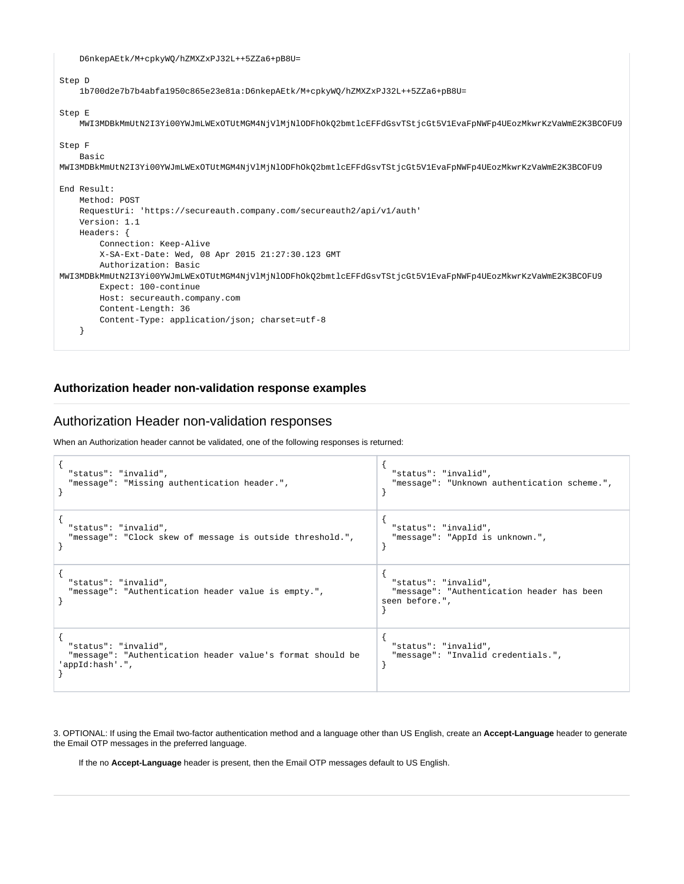D6nkepAEtk/M+cpkyWQ/hZMXZxPJ32L++5ZZa6+pB8U=

| Step D<br>1b700d2e7b7b4abfa1950c865e23e81a:D6nkepAEtk/M+cpkyWO/hZMXZxPJ32L++5ZZa6+pB8U=                                                                                                                                                                                                                                                                                         |
|---------------------------------------------------------------------------------------------------------------------------------------------------------------------------------------------------------------------------------------------------------------------------------------------------------------------------------------------------------------------------------|
| Step E<br>MWI3MDBkMmUtN2I3Yi00YWJmLWExOTUtMGM4NjVlMjNlODFhOkQ2bmtlcEFFdGsvTStjcGt5VlEvaFpNWFp4UEozMkwrKzVaWmE2K3BCOFU9                                                                                                                                                                                                                                                          |
| Step F<br>Basic<br>MWI3MDBkMmUtN2I3Yi00YWJmLWExOTUtMGM4NjVlMjNlODFhOkQ2bmtlcEFFdGsvTStjcGt5VlEvaFpNWFp4UEozMkwrKzVaWmE2K3BCOFU9                                                                                                                                                                                                                                                 |
| End Result:<br>Method: POST<br>RequestUri: 'https://secureauth.company.com/secureauth2/api/v1/auth'<br>Version: 1.1<br>Headers: {<br>Connection: Keep-Alive<br>X-SA-Ext-Date: Wed, 08 Apr 2015 21:27:30.123 GMT<br>Authorization: Basic<br>MWI3MDBkMmUtN2I3Yi00YWJmLWExOTUtMGM4NjVlMjNlODFhOkQ2bmtlcEFFdGsvTStjcGt5VlEvaFpNWFp4UEozMkwrKzVaWmE2K3BCOFU9<br>Expect: 100-continue |
| Host: secureauth.company.com<br>Content-Length: 36<br>Content-Type: application/json; charset=utf-8                                                                                                                                                                                                                                                                             |

### **Authorization header non-validation response examples**

## Authorization Header non-validation responses

When an Authorization header cannot be validated, one of the following responses is returned:

| "status": "invalid",                                                                                  | "status": "invalid",                                                                 |
|-------------------------------------------------------------------------------------------------------|--------------------------------------------------------------------------------------|
| "message": "Missing authentication header.",                                                          | "message": "Unknown authentication scheme.",                                         |
| "status": "invalid",                                                                                  | "status": "invalid",                                                                 |
| "message": "Clock skew of message is outside threshold.",                                             | "message": "AppId is unknown.",                                                      |
| "status": "invalid",<br>"message": "Authentication header value is empty.",                           | "status": "invalid",<br>"message": "Authentication header has been<br>seen before.", |
| "status": "invalid",<br>"message": "Authentication header value's format should be<br>'appId:hash'.", | "status": "invalid",<br>"message": "Invalid credentials.",                           |

3. OPTIONAL: If using the Email two-factor authentication method and a language other than US English, create an **Accept-Language** header to generate the Email OTP messages in the preferred language.

If the no **Accept-Language** header is present, then the Email OTP messages default to US English.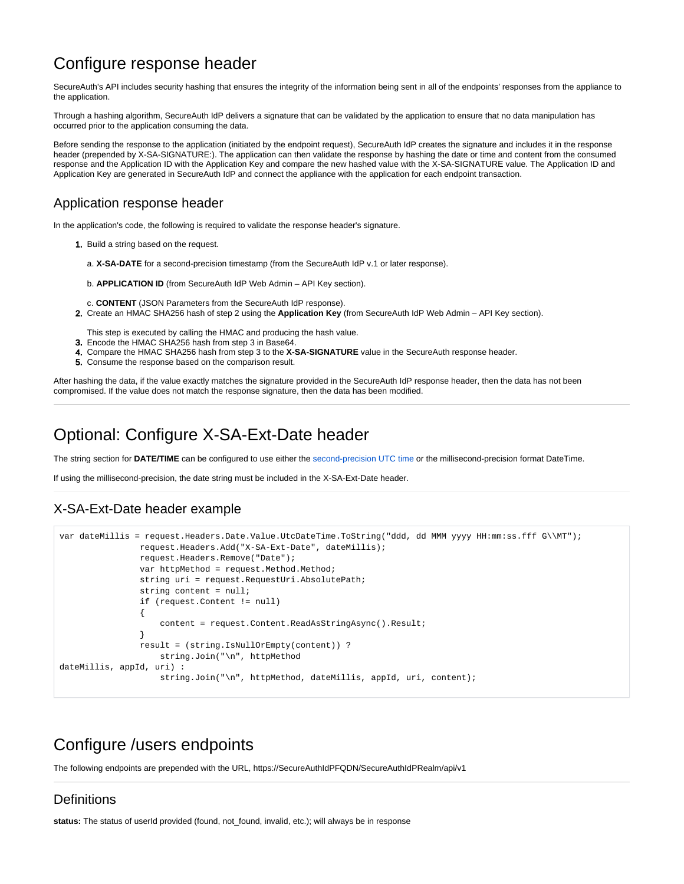# Configure response header

SecureAuth's API includes security hashing that ensures the integrity of the information being sent in all of the endpoints' responses from the appliance to the application.

Through a hashing algorithm, SecureAuth IdP delivers a signature that can be validated by the application to ensure that no data manipulation has occurred prior to the application consuming the data.

Before sending the response to the application (initiated by the endpoint request), SecureAuth IdP creates the signature and includes it in the response header (prepended by X-SA-SIGNATURE:). The application can then validate the response by hashing the date or time and content from the consumed response and the Application ID with the Application Key and compare the new hashed value with the X-SA-SIGNATURE value. The Application ID and Application Key are generated in SecureAuth IdP and connect the appliance with the application for each endpoint transaction.

## Application response header

In the application's code, the following is required to validate the response header's signature.

- 1. Build a string based on the request.
	- a. **X-SA-DATE** for a second-precision timestamp (from the SecureAuth IdP v.1 or later response).
	- b. **APPLICATION ID** (from SecureAuth IdP Web Admin API Key section).
- c. **CONTENT** (JSON Parameters from the SecureAuth IdP response).
- 2. Create an HMAC SHA256 hash of step 2 using the **Application Key** (from SecureAuth IdP Web Admin API Key section).

This step is executed by calling the HMAC and producing the hash value.

- 3. Encode the HMAC SHA256 hash from step 3 in Base64.
- 4. Compare the HMAC SHA256 hash from step 3 to the **X-SA-SIGNATURE** value in the SecureAuth response header.
- 5. Consume the response based on the comparison result.

After hashing the data, if the value exactly matches the signature provided in the SecureAuth IdP response header, then the data has not been compromised. If the value does not match the response signature, then the data has been modified.

## <span id="page-5-1"></span>Optional: Configure X-SA-Ext-Date header

The string section for **DATE/TIME** can be configured to use either the [second-precision UTC time](https://docs.microsoft.com/en-us/dotnet/standard/base-types/standard-date-and-time-format-strings#RFC1123) or the millisecond-precision format DateTime.

If using the millisecond-precision, the date string must be included in the X-SA-Ext-Date header.

## X-SA-Ext-Date header example

```
var dateMillis = request.Headers.Date.Value.UtcDateTime.ToString("ddd, dd MMM yyyy HH:mm:ss.fff G\\MT");
                request.Headers.Add("X-SA-Ext-Date", dateMillis); 
                request.Headers.Remove("Date");
               var httpMethod = request.Method.Method;
                string uri = request.RequestUri.AbsolutePath;
                string content = null;
                if (request.Content != null)
\{ content = request.Content.ReadAsStringAsync().Result;
 }
                result = (string.IsNullOrEmpty(content)) ?
                    string.Join("\n", httpMethod
dateMillis, appId, uri) :
                    string.Join("\n", httpMethod, dateMillis, appId, uri, content);
```
# <span id="page-5-0"></span>Configure /users endpoints

The following endpoints are prepended with the URL, https://SecureAuthIdPFQDN/SecureAuthIdPRealm/api/v1

## **Definitions**

**status:** The status of userId provided (found, not\_found, invalid, etc.); will always be in response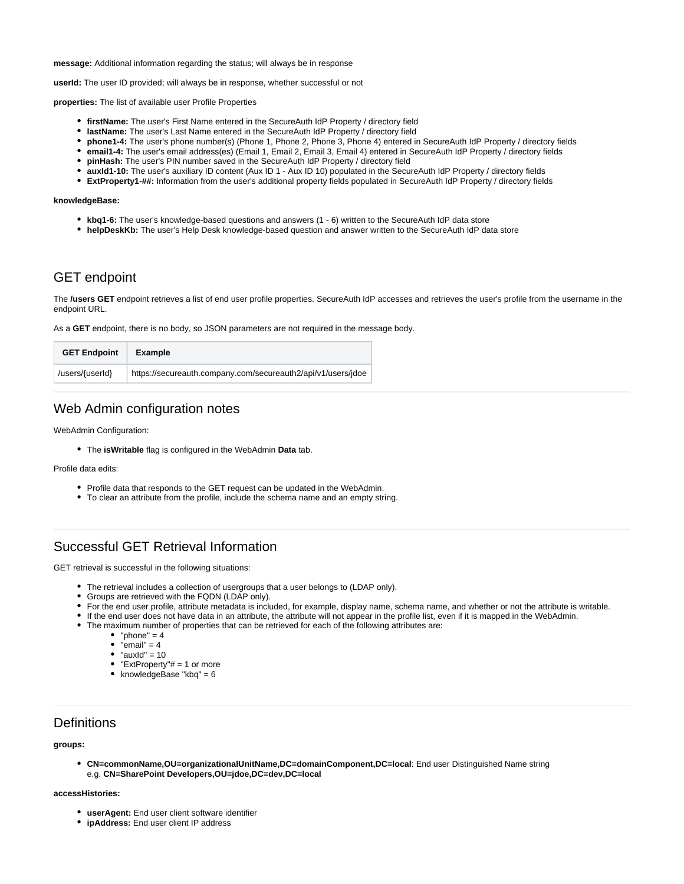**message:** Additional information regarding the status; will always be in response

**userId:** The user ID provided; will always be in response, whether successful or not

**properties:** The list of available user Profile Properties

- **firstName:** The user's First Name entered in the SecureAuth IdP Property / directory field
- **lastName:** The user's Last Name entered in the SecureAuth IdP Property / directory field
- **phone1-4:** The user's phone number(s) (Phone 1, Phone 2, Phone 3, Phone 4) entered in SecureAuth IdP Property / directory fields
- **email1-4:** The user's email address(es) (Email 1, Email 2, Email 3, Email 4) entered in SecureAuth IdP Property / directory fields
- **pinHash:** The user's PIN number saved in the SecureAuth IdP Property / directory field
- **auxId1-10:** The user's auxiliary ID content (Aux ID 1 Aux ID 10) populated in the SecureAuth IdP Property / directory fields
- **ExtProperty1-##:** Information from the user's additional property fields populated in SecureAuth IdP Property / directory fields

#### **knowledgeBase:**

- **kbq1-6:** The user's knowledge-based questions and answers (1 6) written to the SecureAuth IdP data store
- **helpDeskKb:** The user's Help Desk knowledge-based question and answer written to the SecureAuth IdP data store

#### GET endpoint

The **/users GET** endpoint retrieves a list of end user profile properties. SecureAuth IdP accesses and retrieves the user's profile from the username in the endpoint URL.

As a **GET** endpoint, there is no body, so JSON parameters are not required in the message body.

| <b>GET Endpoint</b> | Example                                                      |
|---------------------|--------------------------------------------------------------|
| /users/{userId}     | https://secureauth.company.com/secureauth2/api/v1/users/jdoe |

### Web Admin configuration notes

WebAdmin Configuration:

The **isWritable** flag is configured in the WebAdmin **Data** tab.

#### Profile data edits:

- Profile data that responds to the GET request can be updated in the WebAdmin.
- To clear an attribute from the profile, include the schema name and an empty string.

## Successful GET Retrieval Information

GET retrieval is successful in the following situations:

- The retrieval includes a collection of usergroups that a user belongs to (LDAP only).
- Groups are retrieved with the FQDN (LDAP only).
- For the end user profile, attribute metadata is included, for example, display name, schema name, and whether or not the attribute is writable.
- If the end user does not have data in an attribute, the attribute will not appear in the profile list, even if it is mapped in the WebAdmin.
- The maximum number of properties that can be retrieved for each of the following attributes are:
	- "phone"  $= 4$
	- $\bullet$  "email" = 4
	- $\bullet$  "auxid" = 10
	- "ExtProperty"# = 1 or more
	- knowledgeBase " $k$ bq" = 6

#### **Definitions**

#### **groups:**

**CN=commonName,OU=organizationalUnitName,DC=domainComponent,DC=local**: End user Distinguished Name string e.g. **CN=SharePoint Developers,OU=jdoe,DC=dev,DC=local**

#### **accessHistories:**

- **userAgent:** End user client software identifier
- **ipAddress:** End user client IP address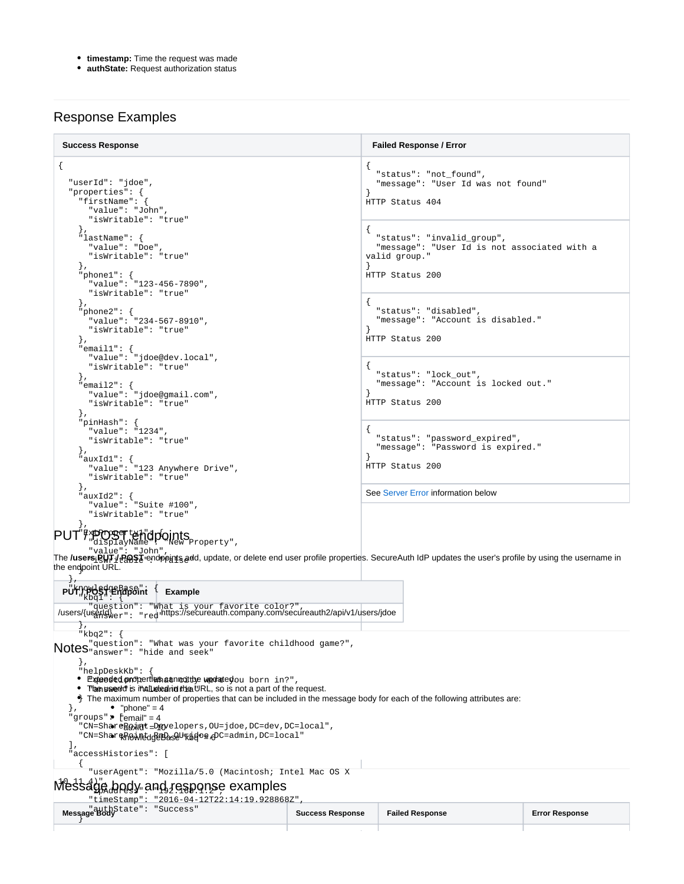- **timestamp:** Time the request was made
- **authState:** Request authorization status

## Response Examples

| <b>Success Response</b>                                                                                                                                                                                                    | <b>Failed Response / Error</b>                                                                                 |
|----------------------------------------------------------------------------------------------------------------------------------------------------------------------------------------------------------------------------|----------------------------------------------------------------------------------------------------------------|
| "userId": "jdoe",<br>"properties": {<br>"firstName": $\{$<br>"value": "John",<br>"isWritable": "true"<br>$\}$ ,                                                                                                            | "status": "not_found",<br>"message": "User Id was not found"<br>HTTP Status 404                                |
| "lastName": {<br>"value": "Doe",<br>"isWritable": "true"<br>$\mathcal{L}$<br>"phone $1$ ": {<br>"value": "123-456-7890",<br>"isWritable": "true"                                                                           | "status": "invalid_group",<br>"message": "User Id is not associated with a<br>valid group."<br>HTTP Status 200 |
| $\}$ ,<br>"phone $2$ ": {<br>"value": "234-567-8910",<br>"isWritable": "true"<br>$\cdot$<br>"email1": $\{$<br>"value": "jdoe@dev.local",                                                                                   | "status": "disabled",<br>"message": "Account is disabled."<br>HTTP Status 200                                  |
| "isWritable": "true"<br>$\}$ ,<br>"email2": $\{$<br>"value": "idoe@qmail.com",<br>"isWritable": "true"<br>$\}$ ,                                                                                                           | "status": "lock_out",<br>"message": "Account is locked out."<br>HTTP Status 200                                |
| "pinHash": $\{$<br>"value": "1234",<br>"isWritable": "true"<br>$\}$ ,<br>"auxId $1$ ": {<br>"value": "123 Anywhere Drive",<br>"isWritable": "true"                                                                         | "status": "password_expired",<br>"message": "Password is expired."<br>HTTP Status 200                          |
| $\}$ ,<br>"auxId2": $\{$<br>"value": "Suite #100",<br>"isWritable": "true"<br>$\}$ ,                                                                                                                                       | See Server Error information below                                                                             |
|                                                                                                                                                                                                                            |                                                                                                                |
| "value": "John"<br>The <b>/users:ဥြਸੇ</b> † / POST cendpeints add, update, or delete end user profile properties. SecureAuth IdP updates the user's profile by using the username in<br>the endpoint URL.<br>$\rightarrow$ |                                                                                                                |

| <b>Example</b>                                                                                                                    |                         |                        |                       |
|-----------------------------------------------------------------------------------------------------------------------------------|-------------------------|------------------------|-----------------------|
| "question": "What is your favorite color?",<br>/users/{userleded="redimps://secureauth.company.com/secureauth2/api/v1/users/jdoe/ |                         |                        |                       |
| $\overline{ }$                                                                                                                    |                         |                        |                       |
| "kbq2":                                                                                                                           |                         |                        |                       |
| Notes <sup>"question":</sup> "What was your favorite childhood game?",<br>Notes <sup>"</sup> answer": "hide and seek"             |                         |                        |                       |
|                                                                                                                                   |                         |                        |                       |
| ſ,                                                                                                                                |                         |                        |                       |
| "helpDeskKb":                                                                                                                     |                         |                        |                       |
| · Extended properties sannotthe wedetedou born in?",                                                                              |                         |                        |                       |
| • The used is included in the URL, so is not a part of the request.                                                               |                         |                        |                       |
| $\bullet$ The maximum number of properties that can be included in the message body for each of the following attributes are:     |                         |                        |                       |
| • "phone" = $4$<br>"groups" $\bullet$ ['email" = 4                                                                                |                         |                        |                       |
| "CN=ShareBoxint_Dayelopers, OU=jdoe, DC=dev, DC=local",                                                                           |                         |                        |                       |
|                                                                                                                                   |                         |                        |                       |
| "CN=ShareRowleddeBaseUrkgdoe gDC=admin, DC=local"                                                                                 |                         |                        |                       |
| "accessHistories": [                                                                                                              |                         |                        |                       |
|                                                                                                                                   |                         |                        |                       |
| "userAgent": "Mozilla/5.0 (Macintosh; Intel Mac OS X                                                                              |                         |                        |                       |
|                                                                                                                                   |                         |                        |                       |
| Messäge body and response examples                                                                                                |                         |                        |                       |
| "timeStamp": "2016-04-12T22:14:19.928868Z",                                                                                       |                         |                        |                       |
| Message Body<br>Message Body                                                                                                      | <b>Success Response</b> | <b>Failed Response</b> | <b>Error Response</b> |
|                                                                                                                                   |                         |                        |                       |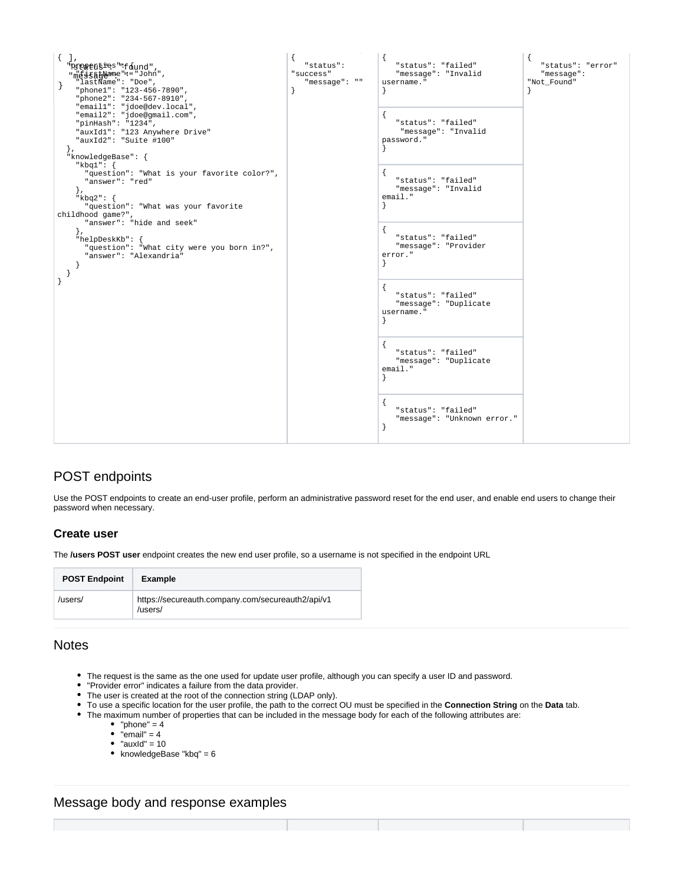

## POST endpoints

Use the POST endpoints to create an end-user profile, perform an administrative password reset for the end user, and enable end users to change their password when necessary.

### **Create user**

The **/users POST user** endpoint creates the new end user profile, so a username is not specified in the endpoint URL

| <b>POST Endpoint</b> | <b>Example</b>                                               |
|----------------------|--------------------------------------------------------------|
| /users/              | https://secureauth.company.com/secureauth2/api/v1<br>/users/ |

### **Notes**

- The request is the same as the one used for update user profile, although you can specify a user ID and password.
- "Provider error" indicates a failure from the data provider.
- The user is created at the root of the connection string (LDAP only).
- To use a specific location for the user profile, the path to the correct OU must be specified in the **Connection String** on the **Data** tab.
- The maximum number of properties that can be included in the message body for each of the following attributes are:
	- "phone" =  $4$
	- $\bullet$  "email" = 4
	- $\bullet$  "auxid" = 10
	- knowledgeBase "kbq"  $= 6$

#### Message body and response examples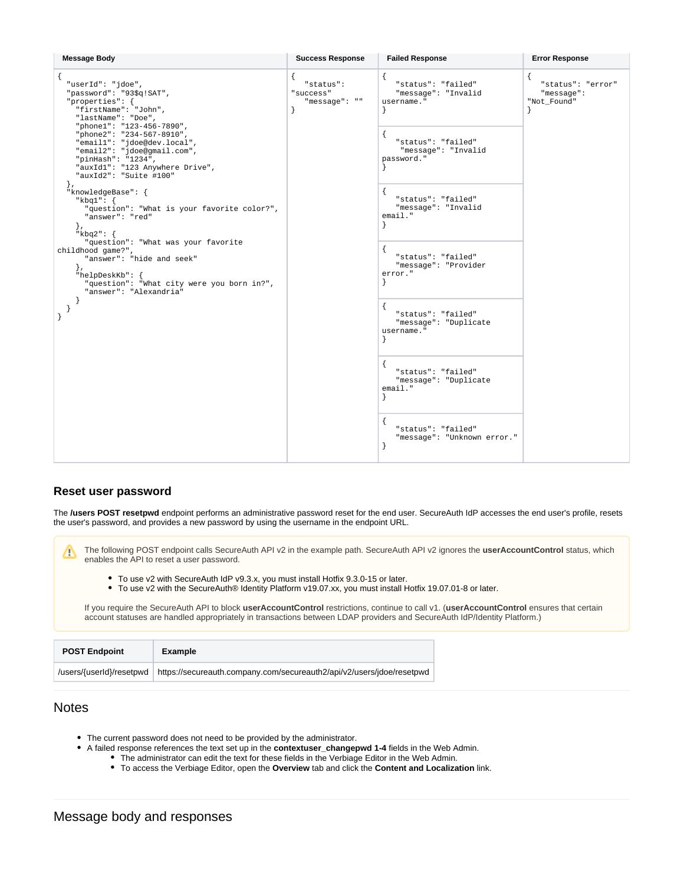| <b>Message Body</b>                                                                                                                                                                                                                                                                                                                                                                                                                                                                                                                                                                                                                                                           | <b>Success Response</b>                                  | <b>Failed Response</b>                                                                                                                                                                                                                                                                                                                                                                                                      | <b>Error Response</b>                          |
|-------------------------------------------------------------------------------------------------------------------------------------------------------------------------------------------------------------------------------------------------------------------------------------------------------------------------------------------------------------------------------------------------------------------------------------------------------------------------------------------------------------------------------------------------------------------------------------------------------------------------------------------------------------------------------|----------------------------------------------------------|-----------------------------------------------------------------------------------------------------------------------------------------------------------------------------------------------------------------------------------------------------------------------------------------------------------------------------------------------------------------------------------------------------------------------------|------------------------------------------------|
| "userId": "jdoe",<br>"password": "93\$q!SAT",<br>"properties": {<br>"firstName": "John",<br>"lastName": "Doe",<br>"phone1": "123-456-7890",<br>"phone2": "234-567-8910",<br>"email1": "jdoe@dev.local",<br>"email2": "jdoe@gmail.com",<br>"pinHash": "1234",<br>"auxIdl": "123 Anywhere Drive",<br>"auxId2": "Suite #100"<br>$\}$ ,<br>"knowledgeBase": {<br>" $k$ bq $1$ ": {<br>"question": "What is your favorite color?",<br>"answer": "red"<br>$\}$ ,<br>" $k$ bq $2$ ": {<br>"question": "What was your favorite<br>childhood game?",<br>"answer": "hide and seek"<br>$\}$ ,<br>"helpDeskKb": {<br>"question": "What city were you born in?",<br>"answer": "Alexandria" | "status":<br>"success"<br>"message": ""<br>$\mathcal{F}$ | "status": "failed"<br>"message": "Invalid<br>username."<br>"status": "failed"<br>"message": "Invalid<br>password."<br>"status": "failed"<br>"message": "Invalid<br>$email.$ "<br>"status": "failed"<br>"message": "Provider<br>error."<br>ł<br>"status": "failed"<br>"message": "Duplicate<br>username."<br>"status": "failed"<br>"message": "Duplicate<br>email.<br>"status": "failed"<br>"message": "Unknown error."<br>ł | "status": "error"<br>"message":<br>"Not_Found" |

#### **Reset user password**

The **/users POST resetpwd** endpoint performs an administrative password reset for the end user. SecureAuth IdP accesses the end user's profile, resets the user's password, and provides a new password by using the username in the endpoint URL.

The following POST endpoint calls SecureAuth API v2 in the example path. SecureAuth API v2 ignores the **userAccountControl** status, which enables the API to reset a user password.

- To use v2 with SecureAuth IdP v9.3.x, you must install Hotfix 9.3.0-15 or later.
- To use v2 with the SecureAuth® Identity Platform v19.07.xx, you must install Hotfix 19.07.01-8 or later.

If you require the SecureAuth API to block **userAccountControl** restrictions, continue to call v1. (**userAccountControl** ensures that certain account statuses are handled appropriately in transactions between LDAP providers and SecureAuth IdP/Identity Platform.)

| <b>POST Endpoint</b>     | Example                                                               |  |
|--------------------------|-----------------------------------------------------------------------|--|
| /users/{userId}/resetpwd | https://secureauth.company.com/secureauth2/api/v2/users/idoe/resetpwd |  |

## **Notes**

Λ

- The current password does not need to be provided by the administrator.
- A failed response references the text set up in the **contextuser\_changepwd 1-4** fields in the Web Admin.
	- The administrator can edit the text for these fields in the Verbiage Editor in the Web Admin.
		- To access the Verbiage Editor, open the **Overview** tab and click the **Content and Localization** link.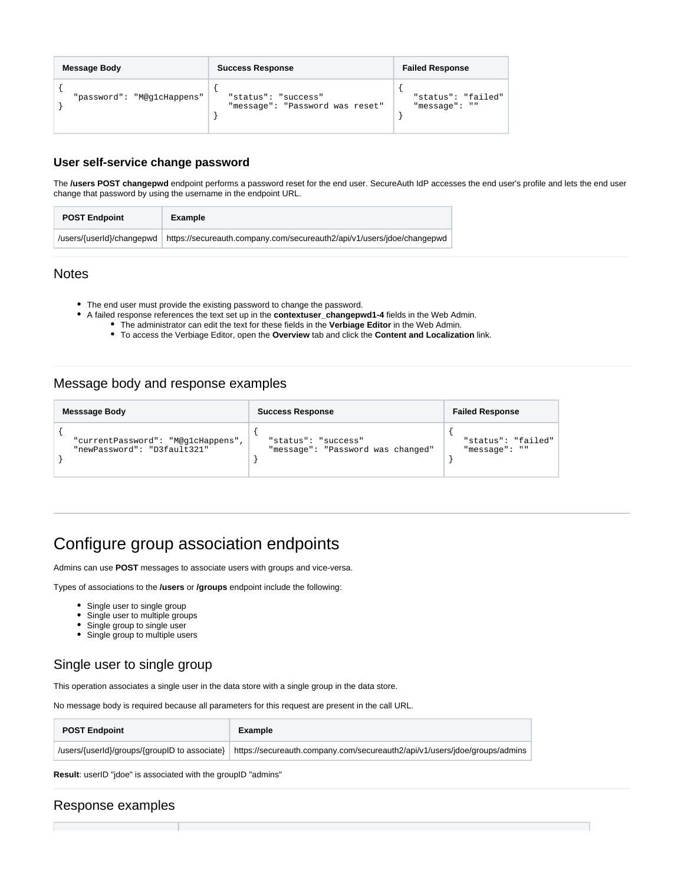| <b>Message Body</b>        | <b>Success Response</b>                                | <b>Failed Response</b>              |
|----------------------------|--------------------------------------------------------|-------------------------------------|
| "password": "M@glcHappens" | "status": "success"<br>"message": "Password was reset" | "status": "failed"<br>"message": "" |

#### **User self-service change password**

The **/users POST changepwd** endpoint performs a password reset for the end user. SecureAuth IdP accesses the end user's profile and lets the end user change that password by using the username in the endpoint URL.

| <b>POST Endpoint</b>      | Example                                                                |  |
|---------------------------|------------------------------------------------------------------------|--|
| /users/{userId}/changepwd | https://secureauth.company.com/secureauth2/api/v1/users/jdoe/changepwd |  |

### **Notes**

- The end user must provide the existing password to change the password.
- A failed response references the text set up in the **contextuser\_changepwd1-4** fields in the Web Admin.
	- The administrator can edit the text for these fields in the **Verbiage Editor** in the Web Admin.
	- To access the Verbiage Editor, open the **Overview** tab and click the **Content and Localization** link.

## Message body and response examples

| Messsage Body                     | <b>Success Response</b>           | <b>Failed Response</b> |
|-----------------------------------|-----------------------------------|------------------------|
| "currentPassword": "M@glcHappens" | "status": "success"               | "status": "failed"     |
| "newPassword": "D3fault321"       | "message": "Password was changed" | "message": ""          |

# Configure group association endpoints

Admins can use **POST** messages to associate users with groups and vice-versa.

Types of associations to the **/users** or **/groups** endpoint include the following:

- Single user to single group
- Single user to multiple groups
- Single group to single user
- Single group to multiple users

## <span id="page-10-0"></span>Single user to single group

This operation associates a single user in the data store with a single group in the data store.

No message body is required because all parameters for this request are present in the call URL.

| <b>POST Endpoint</b> | Example                                                                                                                    |
|----------------------|----------------------------------------------------------------------------------------------------------------------------|
|                      | /users/{userId}/groups/{groupID to associate}   https://secureauth.company.com/secureauth2/api/v1/users/jdoe/groups/admins |

**Result**: userID "jdoe" is associated with the groupID "admins"

## Response examples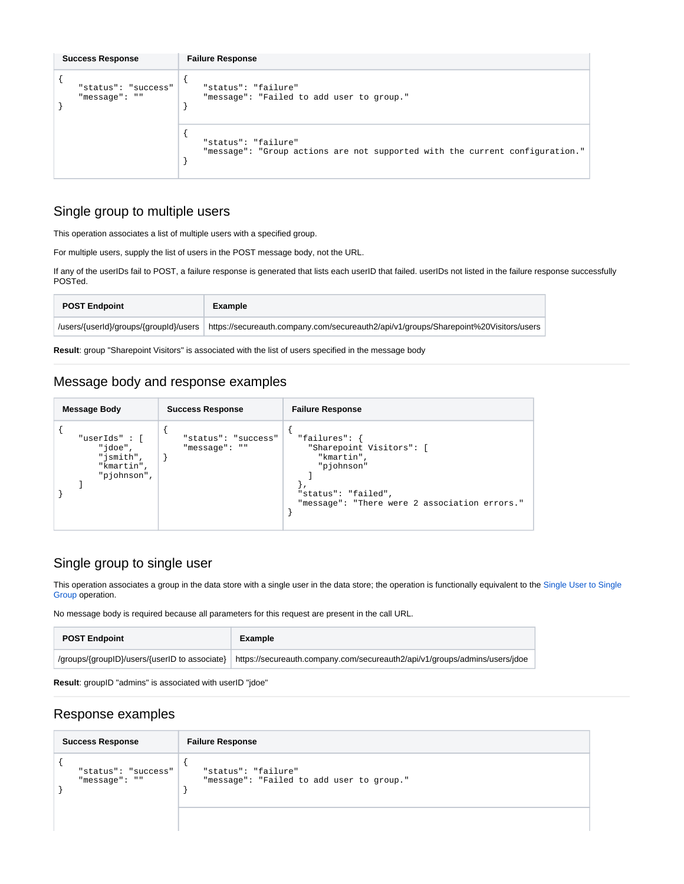| <b>Success Response</b>              | <b>Failure Response</b>                                                                             |
|--------------------------------------|-----------------------------------------------------------------------------------------------------|
| "status": "success"<br>"message": "" | "status": "failure"<br>"message": "Failed to add user to group."                                    |
|                                      | "status": "failure"<br>"message": "Group actions are not supported with the current configuration." |

## Single group to multiple users

This operation associates a list of multiple users with a specified group.

For multiple users, supply the list of users in the POST message body, not the URL.

If any of the userIDs fail to POST, a failure response is generated that lists each userID that failed. userIDs not listed in the failure response successfully POSTed.

| <b>POST Endpoint</b>                   | Example                                                                              |
|----------------------------------------|--------------------------------------------------------------------------------------|
| /users/{userId}/groups/{groupId}/users | https://secureauth.company.com/secureauth2/api/v1/groups/Sharepoint%20Visitors/users |

**Result**: group "Sharepoint Visitors" is associated with the list of users specified in the message body

## Message body and response examples

| <b>Message Body</b>                                               | <b>Success Response</b>              | <b>Failure Response</b>                                                                                                                       |
|-------------------------------------------------------------------|--------------------------------------|-----------------------------------------------------------------------------------------------------------------------------------------------|
| "userIds": [<br>"jdoe",<br>"jsmith",<br>"kmartin",<br>"pjohnson", | "status": "success"<br>"message": "" | "failures": {<br>"Sharepoint Visitors": [<br>"kmartin",<br>"pjohnson"<br>"status": "failed",<br>"message": "There were 2 association errors." |

## Single group to single user

This operation associates a group in the data store with a single user in the data store; the operation is functionally equivalent to the Single User to Single [Group](#page-10-0) operation.

No message body is required because all parameters for this request are present in the call URL.

| <b>POST Endpoint</b> | Example                                                                                                                  |
|----------------------|--------------------------------------------------------------------------------------------------------------------------|
|                      | /groups/{grouplD}/users/{userID to associate} https://secureauth.company.com/secureauth2/api/v1/groups/admins/users/jdoe |

**Result**: groupID "admins" is associated with userID "jdoe"

## Response examples

| <b>Success Response</b>              | <b>Failure Response</b>                                          |
|--------------------------------------|------------------------------------------------------------------|
| "status": "success"<br>"message": "" | "status": "failure"<br>"message": "Failed to add user to group." |
|                                      |                                                                  |